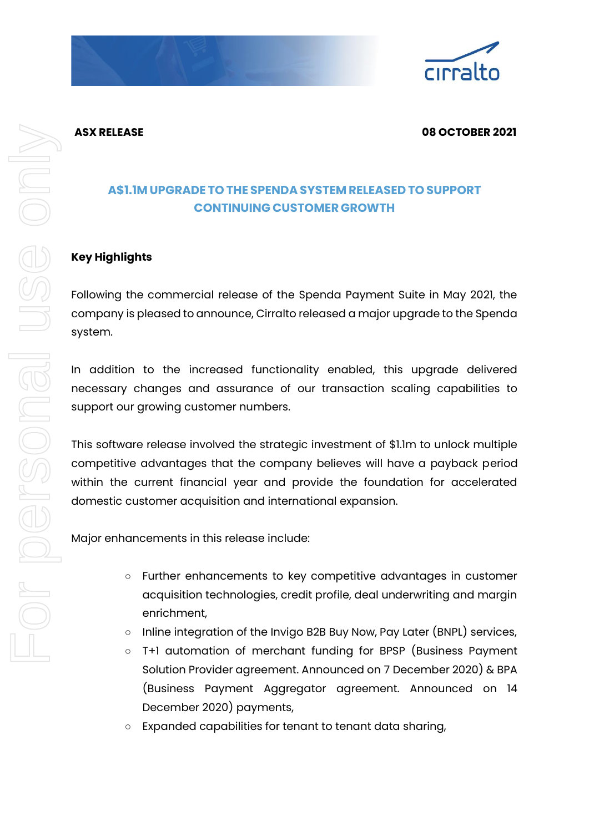



### **ASX RELEASE 08 OCTOBER 2021**

# **A\$1.1M UPGRADE TO THE SPENDA SYSTEM RELEASED TO SUPPORT CONTINUING CUSTOMER GROWTH**

## **Key Highlights**

Following the commercial release of the Spenda Payment Suite in May 2021, the company is pleased to announce, Cirralto released a major upgrade to the Spenda system.

In addition to the increased functionality enabled, this upgrade delivered necessary changes and assurance of our transaction scaling capabilities to support our growing customer numbers.

This software release involved the strategic investment of \$1.1m to unlock multiple competitive advantages that the company believes will have a payback period within the current financial year and provide the foundation for accelerated domestic customer acquisition and international expansion.

Major enhancements in this release include:

- Further enhancements to key competitive advantages in customer acquisition technologies, credit profile, deal underwriting and margin enrichment,
- Inline integration of the Invigo B2B Buy Now, Pay Later (BNPL) services,
- T+1 automation of merchant funding for BPSP (Business Payment Solution Provider agreement. Announced on 7 December 2020) & BPA (Business Payment Aggregator agreement. Announced on 14 December 2020) payments,
- Expanded capabilities for tenant to tenant data sharing,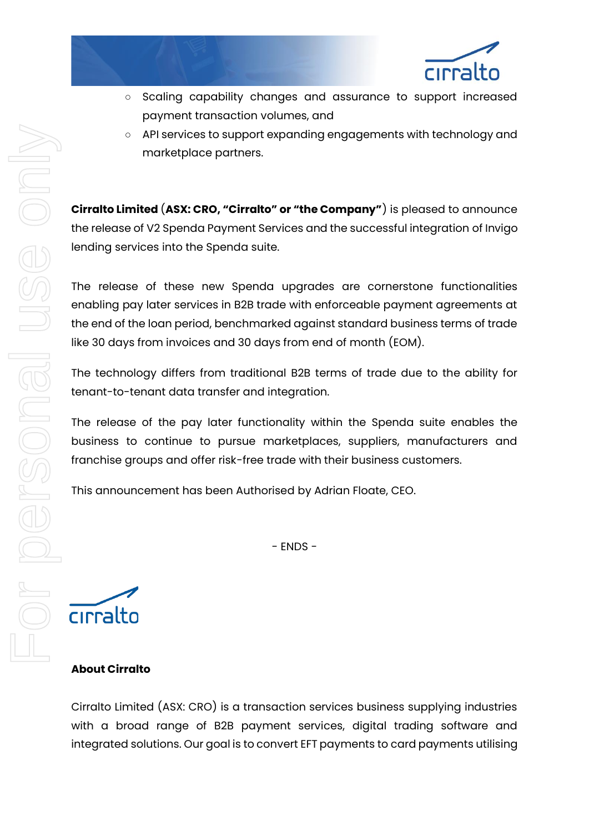

- Scaling capability changes and assurance to support increased payment transaction volumes, and
- API services to support expanding engagements with technology and marketplace partners.

**Cirralto Limited** (**ASX: CRO, "Cirralto" or "the Company"**) is pleased to announce the release of V2 Spenda Payment Services and the successful integration of Invigo lending services into the Spenda suite.

The release of these new Spenda upgrades are cornerstone functionalities enabling pay later services in B2B trade with enforceable payment agreements at the end of the loan period, benchmarked against standard business terms of trade like 30 days from invoices and 30 days from end of month (EOM).

The technology differs from traditional B2B terms of trade due to the ability for tenant-to-tenant data transfer and integration.

The release of the pay later functionality within the Spenda suite enables the business to continue to pursue marketplaces, suppliers, manufacturers and franchise groups and offer risk-free trade with their business customers.

This announcement has been Authorised by Adrian Floate, CEO.

- ENDS -

cirralto

## **About Cirralto**

Cirralto Limited (ASX: CRO) is a transaction services business supplying industries with a broad range of B2B payment services, digital trading software and integrated solutions. Our goal is to convert EFT payments to card payments utilising